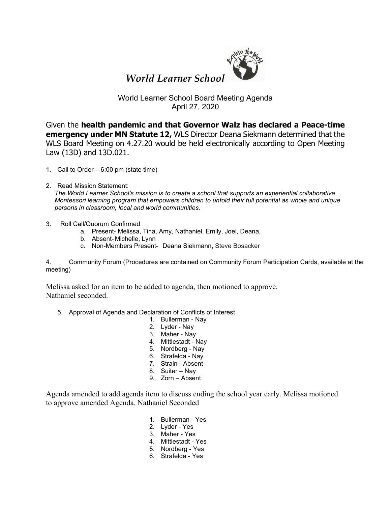

## *World Learner School*

## World Learner School Board Meeting Agenda April 27, 2020

Given the **health pandemic and that Governor Walz has declared a Peace-time emergency under MN Statute 12,** WLS Director Deana Siekmann determined that the WLS Board Meeting on 4.27.20 would be held electronically according to Open Meeting Law (13D) and 13D.021.

- 1. Call to Order 6:00 pm (state time)
- 2. Read Mission Statement:

*The World Learner School's mission is to create a school that supports an experiential collaborative Montessori learning program that empowers children to unfold their full potential as whole and unique persons in classroom, local and world communities.*

- 3. Roll Call/Quorum Confirmed
	- a. Present- Melissa, Tina, Amy, Nathaniel, Emily, Joel, Deana,
	- b. Absent- Michelle, Lynn
	- c. Non-Members Present- Deana Siekmann, Steve Bosacker

4. Community Forum (Procedures are contained on Community Forum Participation Cards, available at the meeting)

Melissa asked for an item to be added to agenda, then motioned to approve. Nathaniel seconded.

- 5. Approval of Agenda and Declaration of Conflicts of Interest
	- 1. Bullerman Nay
	- 2. Lyder Nay
	- 3. Maher Nay
	- 4. Mittlestadt Nay
	- 5. Nordberg Nay
	- 6. Strafelda Nay
	- 7. Strain Absent
	- 8. Suiter Nay
	- 9. Zorn Absent

Agenda amended to add agenda item to discuss ending the school year early. Melissa motioned to approve amended Agenda. Nathaniel Seconded

- 1. Bullerman Yes
- 2. Lyder Yes
- 3. Maher Yes
- 4. Mittlestadt Yes
- 5. Nordberg Yes
- 6. Strafelda Yes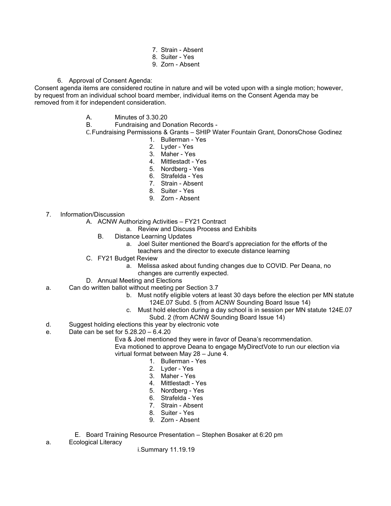- 7. Strain Absent
- 8. Suiter Yes
- 9. Zorn Absent
- 6. Approval of Consent Agenda:

Consent agenda items are considered routine in nature and will be voted upon with a single motion; however, by request from an individual school board member, individual items on the Consent Agenda may be removed from it for independent consideration.

A. Minutes of 3.30.20

B. Fundraising and Donation Records -

C.Fundraising Permissions & Grants – SHIP Water Fountain Grant, DonorsChose Godinez

- 1. Bullerman Yes
- 2. Lyder Yes
- 3. Maher Yes
- 4. Mittlestadt Yes
- 5. Nordberg Yes
- 6. Strafelda Yes
- 7. Strain Absent
- 8. Suiter Yes
- 9. Zorn Absent
- 7. Information/Discussion
	- A. ACNW Authorizing Activities FY21 Contract
		- a. Review and Discuss Process and Exhibits
		- B. Distance Learning Updates
			- a. Joel Suiter mentioned the Board's appreciation for the efforts of the teachers and the director to execute distance learning
	- C. FY21 Budget Review
		- a. Melissa asked about funding changes due to COVID. Per Deana, no
		- changes are currently expected.
	- D. Annual Meeting and Elections
- a. Can do written ballot without meeting per Section 3.7
	- b. Must notify eligible voters at least 30 days before the election per MN statute 124E.07 Subd. 5 (from ACNW Sounding Board Issue 14)
	- c. Must hold election during a day school is in session per MN statute 124E.07 Subd. 2 (from ACNW Sounding Board Issue 14)
	-
- d. Suggest holding elections this year by electronic vote e. Date can be set for 5.28.20 – 6.4.20
	- Eva & Joel mentioned they were in favor of Deana's recommendation.
	- Eva motioned to approve Deana to engage MyDirectVote to run our election via virtual format between May 28 – June 4.
		- 1. Bullerman Yes
		- 2. Lyder Yes
		- 3. Maher Yes
		-
		- 4. Mittlestadt Yes
		- 5. Nordberg Yes
		- 6. Strafelda Yes
		- 7. Strain Absent
		- 8. Suiter Yes
		- 9. Zorn Absent
	- E. Board Training Resource Presentation Stephen Bosaker at 6:20 pm
- a. Ecological Literacy

i.Summary 11.19.19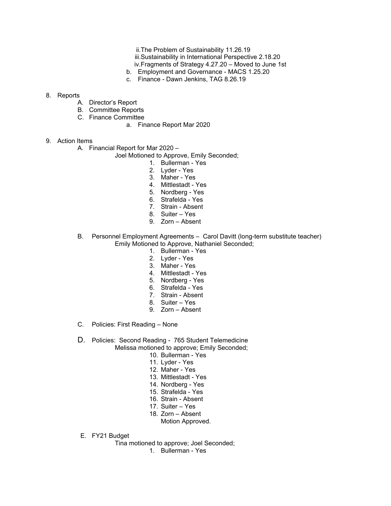- ii.The Problem of Sustainability 11.26.19
- iii.Sustainability in International Perspective 2.18.20
- iv.Fragments of Strategy 4.27.20 Moved to June 1st
- b. Employment and Governance MACS 1.25.20
- c. Finance Dawn Jenkins, TAG 8.26.19

## 8. Reports

- A. Director's Report
- B. Committee Reports
- C. Finance Committee
	- a. Finance Report Mar 2020
- 9. Action Items
	- A. Financial Report for Mar 2020
		- Joel Motioned to Approve, Emily Seconded;
			- 1. Bullerman Yes
			- 2. Lyder Yes
			- 3. Maher Yes
			- 4. Mittlestadt Yes
			- 5. Nordberg Yes
			- 6. Strafelda Yes
			- 7. Strain Absent
			- 8. Suiter Yes
			- 9. Zorn Absent
	- B. Personnel Employment Agreements Carol Davitt (long-term substitute teacher) Emily Motioned to Approve, Nathaniel Seconded;
		- 1. Bullerman Yes
		- 2. Lyder Yes
		- 3. Maher Yes
		- 4. Mittlestadt Yes
		- 5. Nordberg Yes
		- 6. Strafelda Yes
		- 7. Strain Absent
		- 8. Suiter Yes
		- 9. Zorn Absent
	- C. Policies: First Reading None
	- D. Policies: Second Reading 765 Student Telemedicine Melissa motioned to approve; Emily Seconded;
		- 10. Bullerman Yes
		- 11. Lyder Yes
		- 12. Maher Yes
		- 13. Mittlestadt Yes
		- 14. Nordberg Yes
		- 15. Strafelda Yes
		- 16. Strain Absent
		- 17. Suiter Yes
		- 18. Zorn Absent
			- Motion Approved.
	- E. FY21 Budget
		- Tina motioned to approve; Joel Seconded;
			- 1. Bullerman Yes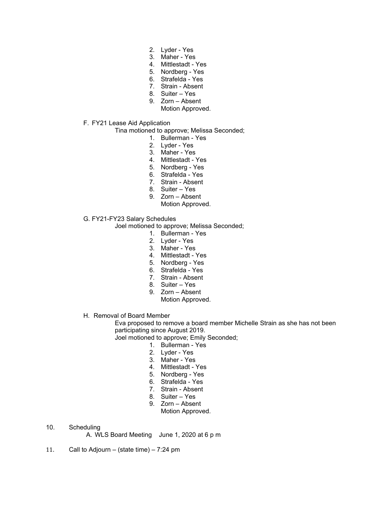- 2. Lyder Yes
- 3. Maher Yes
- 4. Mittlestadt Yes
- 5. Nordberg Yes
- 6. Strafelda Yes
- 7. Strain Absent
- 8. Suiter Yes
- 9. Zorn Absent
	- Motion Approved.
- F. FY21 Lease Aid Application

Tina motioned to approve; Melissa Seconded;

- 1. Bullerman Yes
- 2. Lyder Yes
- 3. Maher Yes
- 4. Mittlestadt Yes
- 5. Nordberg Yes
- 6. Strafelda Yes
- 7. Strain Absent
- 8. Suiter Yes
- 9. Zorn Absent
	- Motion Approved.
- G. FY21-FY23 Salary Schedules

Joel motioned to approve; Melissa Seconded;

- 1. Bullerman Yes
- 2. Lyder Yes
- 3. Maher Yes
- 4. Mittlestadt Yes
- 5. Nordberg Yes
- 6. Strafelda Yes
- 7. Strain Absent
- 8. Suiter Yes
- 9. Zorn Absent
	- Motion Approved.
- H. Removal of Board Member

Eva proposed to remove a board member Michelle Strain as she has not been participating since August 2019.

Joel motioned to approve; Emily Seconded;

- 1. Bullerman Yes
- 2. Lyder Yes
- 3. Maher Yes
- 4. Mittlestadt Yes
- 5. Nordberg Yes
- 6. Strafelda Yes
- 7. Strain Absent
- 8. Suiter Yes
- 9. Zorn Absent
	- Motion Approved.

10. Scheduling

A. WLS Board Meeting June 1, 2020 at 6 p m

11. Call to Adjourn – (state time) – 7:24 pm